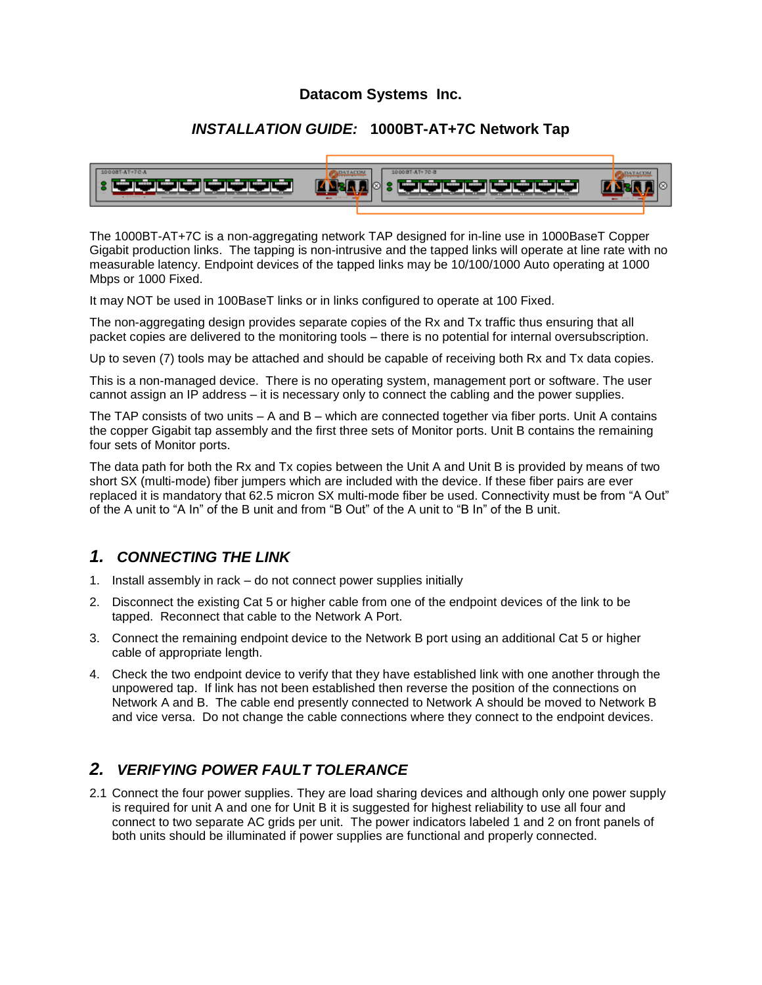#### **Datacom Systems Inc.**

#### *INSTALLATION GUIDE:* **1000BT-AT+7C Network Tap**



The 1000BT-AT+7C is a non-aggregating network TAP designed for in-line use in 1000BaseT Copper Gigabit production links. The tapping is non-intrusive and the tapped links will operate at line rate with no measurable latency. Endpoint devices of the tapped links may be 10/100/1000 Auto operating at 1000 Mbps or 1000 Fixed.

It may NOT be used in 100BaseT links or in links configured to operate at 100 Fixed.

The non-aggregating design provides separate copies of the Rx and Tx traffic thus ensuring that all packet copies are delivered to the monitoring tools – there is no potential for internal oversubscription.

Up to seven (7) tools may be attached and should be capable of receiving both Rx and Tx data copies.

This is a non-managed device. There is no operating system, management port or software. The user cannot assign an IP address – it is necessary only to connect the cabling and the power supplies.

The TAP consists of two units  $- A$  and  $B -$  which are connected together via fiber ports. Unit A contains the copper Gigabit tap assembly and the first three sets of Monitor ports. Unit B contains the remaining four sets of Monitor ports.

The data path for both the Rx and Tx copies between the Unit A and Unit B is provided by means of two short SX (multi-mode) fiber jumpers which are included with the device. If these fiber pairs are ever replaced it is mandatory that 62.5 micron SX multi-mode fiber be used. Connectivity must be from "A Out" of the A unit to "A In" of the B unit and from "B Out" of the A unit to "B In" of the B unit.

## *1. CONNECTING THE LINK*

- 1. Install assembly in rack do not connect power supplies initially
- 2. Disconnect the existing Cat 5 or higher cable from one of the endpoint devices of the link to be tapped. Reconnect that cable to the Network A Port.
- 3. Connect the remaining endpoint device to the Network B port using an additional Cat 5 or higher cable of appropriate length.
- 4. Check the two endpoint device to verify that they have established link with one another through the unpowered tap. If link has not been established then reverse the position of the connections on Network A and B. The cable end presently connected to Network A should be moved to Network B and vice versa. Do not change the cable connections where they connect to the endpoint devices.

## *2. VERIFYING POWER FAULT TOLERANCE*

2.1 Connect the four power supplies. They are load sharing devices and although only one power supply is required for unit A and one for Unit B it is suggested for highest reliability to use all four and connect to two separate AC grids per unit. The power indicators labeled 1 and 2 on front panels of both units should be illuminated if power supplies are functional and properly connected.